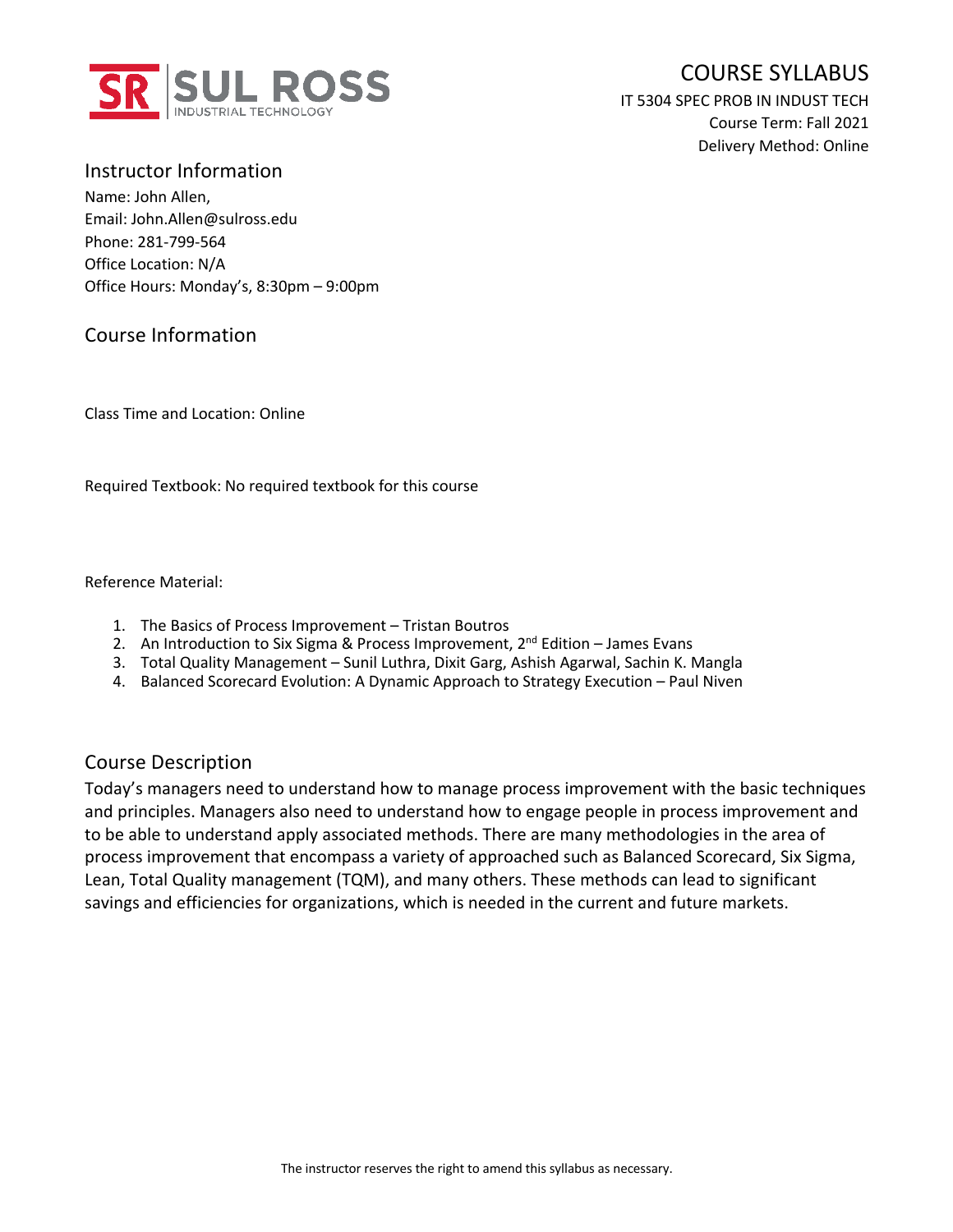

# COURSE SYLLABUS

IT 5304 SPEC PROB IN INDUST TECH Course Term: Fall 2021 Delivery Method: Online

Instructor Information Name: John Allen, Email: John.Allen@sulross.edu Phone: 281-799-564 Office Location: N/A Office Hours: Monday's, 8:30pm – 9:00pm

#### Course Information

Class Time and Location: Online

Required Textbook: No required textbook for this course

Reference Material:

- 1. The Basics of Process Improvement Tristan Boutros
- 2. An Introduction to Six Sigma & Process Improvement,  $2^{nd}$  Edition James Evans
- 3. Total Quality Management Sunil Luthra, Dixit Garg, Ashish Agarwal, Sachin K. Mangla
- 4. Balanced Scorecard Evolution: A Dynamic Approach to Strategy Execution Paul Niven

#### Course Description

Today's managers need to understand how to manage process improvement with the basic techniques and principles. Managers also need to understand how to engage people in process improvement and to be able to understand apply associated methods. There are many methodologies in the area of process improvement that encompass a variety of approached such as Balanced Scorecard, Six Sigma, Lean, Total Quality management (TQM), and many others. These methods can lead to significant savings and efficiencies for organizations, which is needed in the current and future markets.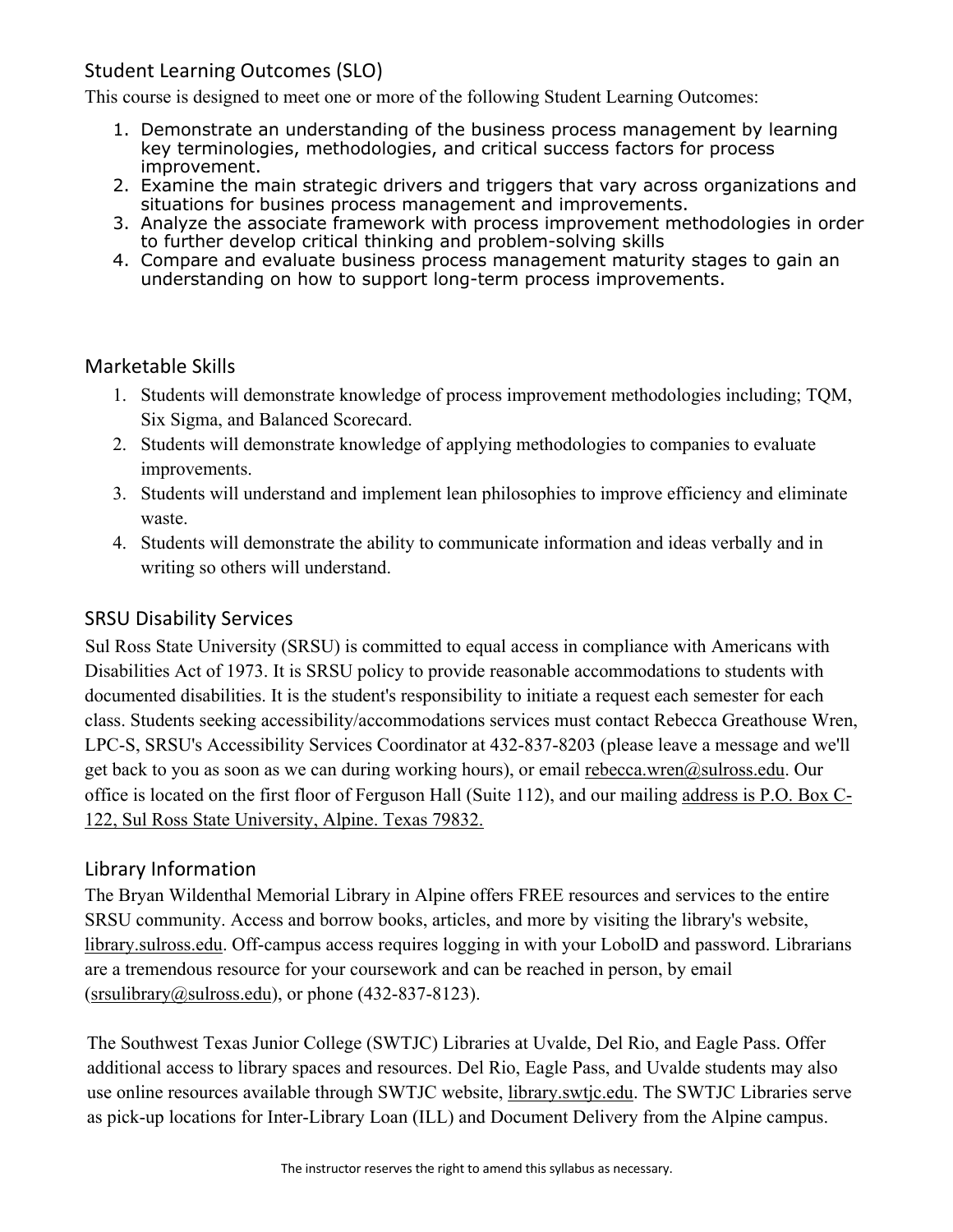## Student Learning Outcomes (SLO)

This course is designed to meet one or more of the following Student Learning Outcomes:

- 1. Demonstrate an understanding of the business process management by learning key terminologies, methodologies, and critical success factors for process improvement.
- 2. Examine the main strategic drivers and triggers that vary across organizations and situations for busines process management and improvements.
- 3. Analyze the associate framework with process improvement methodologies in order to further develop critical thinking and problem-solving skills
- 4. Compare and evaluate business process management maturity stages to gain an understanding on how to support long-term process improvements.

#### Marketable Skills

- 1. Students will demonstrate knowledge of process improvement methodologies including; TQM, Six Sigma, and Balanced Scorecard.
- 2. Students will demonstrate knowledge of applying methodologies to companies to evaluate improvements.
- 3. Students will understand and implement lean philosophies to improve efficiency and eliminate waste.
- 4. Students will demonstrate the ability to communicate information and ideas verbally and in writing so others will understand.

#### SRSU Disability Services

Sul Ross State University (SRSU) is committed to equal access in compliance with Americans with Disabilities Act of 1973. It is SRSU policy to provide reasonable accommodations to students with documented disabilities. It is the student's responsibility to initiate a request each semester for each class. Students seeking accessibility/accommodations services must contact Rebecca Greathouse Wren, LPC-S, SRSU's Accessibility Services Coordinator at 432-837-8203 (please leave a message and we'll get back to you as soon as we can during working hours), or email rebecca.wren@sulross.edu. Our office is located on the first floor of Ferguson Hall (Suite 112), and our mailing address is P.O. Box C-122, Sul Ross State University, Alpine. Texas 79832.

#### Library Information

The Bryan Wildenthal Memorial Library in Alpine offers FREE resources and services to the entire SRSU community. Access and borrow books, articles, and more by visiting the library's website, library.sulross.edu. Off-campus access requires logging in with your LobolD and password. Librarians are a tremendous resource for your coursework and can be reached in person, by email  $(srsubbary@subcos.edu)$ , or phone (432-837-8123).

The Southwest Texas Junior College (SWTJC) Libraries at Uvalde, Del Rio, and Eagle Pass. Offer additional access to library spaces and resources. Del Rio, Eagle Pass, and Uvalde students may also use online resources available through SWTJC website, library.swtjc.edu. The SWTJC Libraries serve as pick-up locations for Inter-Library Loan (ILL) and Document Delivery from the Alpine campus.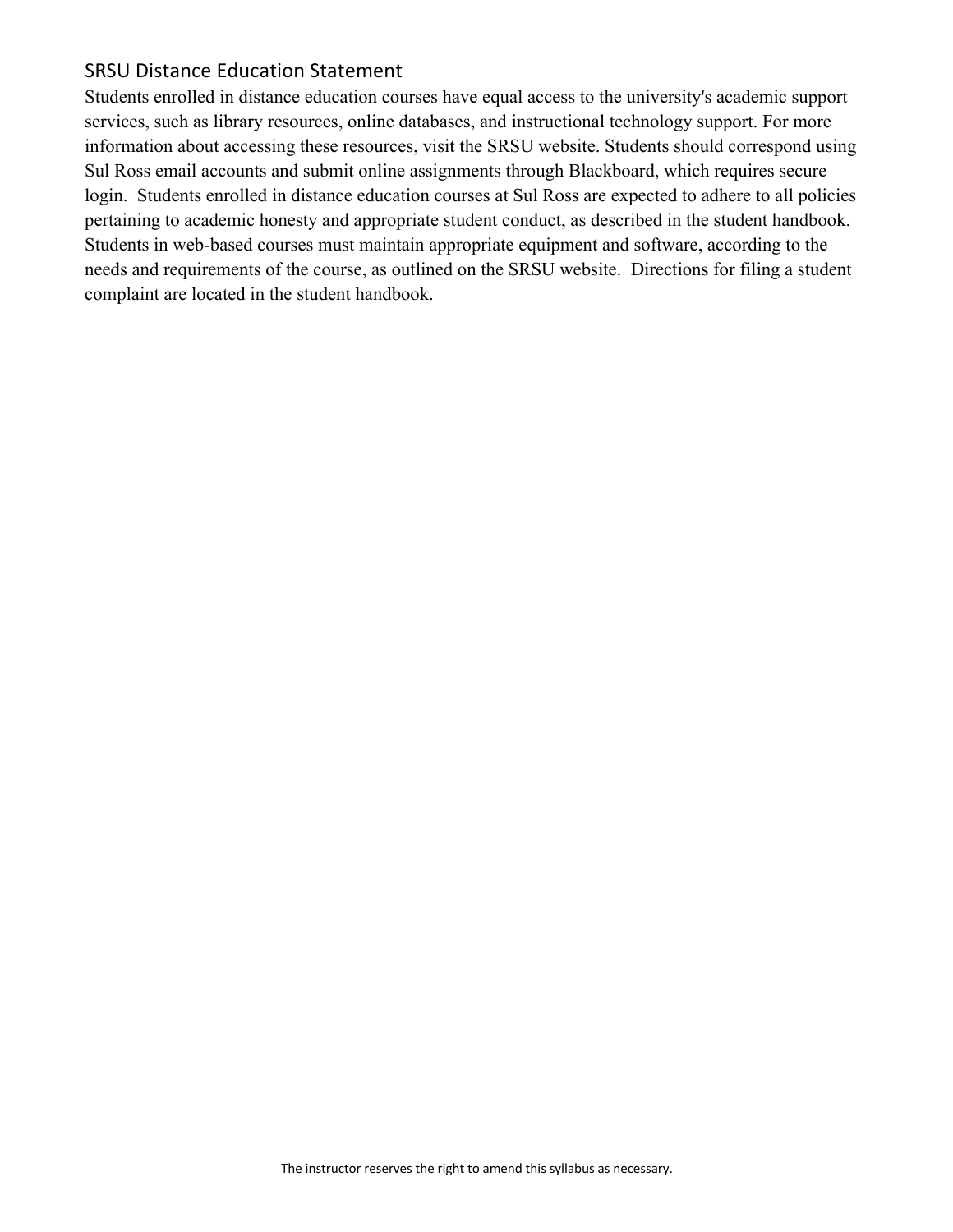#### SRSU Distance Education Statement

Students enrolled in distance education courses have equal access to the university's academic support services, such as library resources, online databases, and instructional technology support. For more information about accessing these resources, visit the SRSU website. Students should correspond using Sul Ross email accounts and submit online assignments through Blackboard, which requires secure login. Students enrolled in distance education courses at Sul Ross are expected to adhere to all policies pertaining to academic honesty and appropriate student conduct, as described in the student handbook. Students in web-based courses must maintain appropriate equipment and software, according to the needs and requirements of the course, as outlined on the SRSU website. Directions for filing a student complaint are located in the student handbook.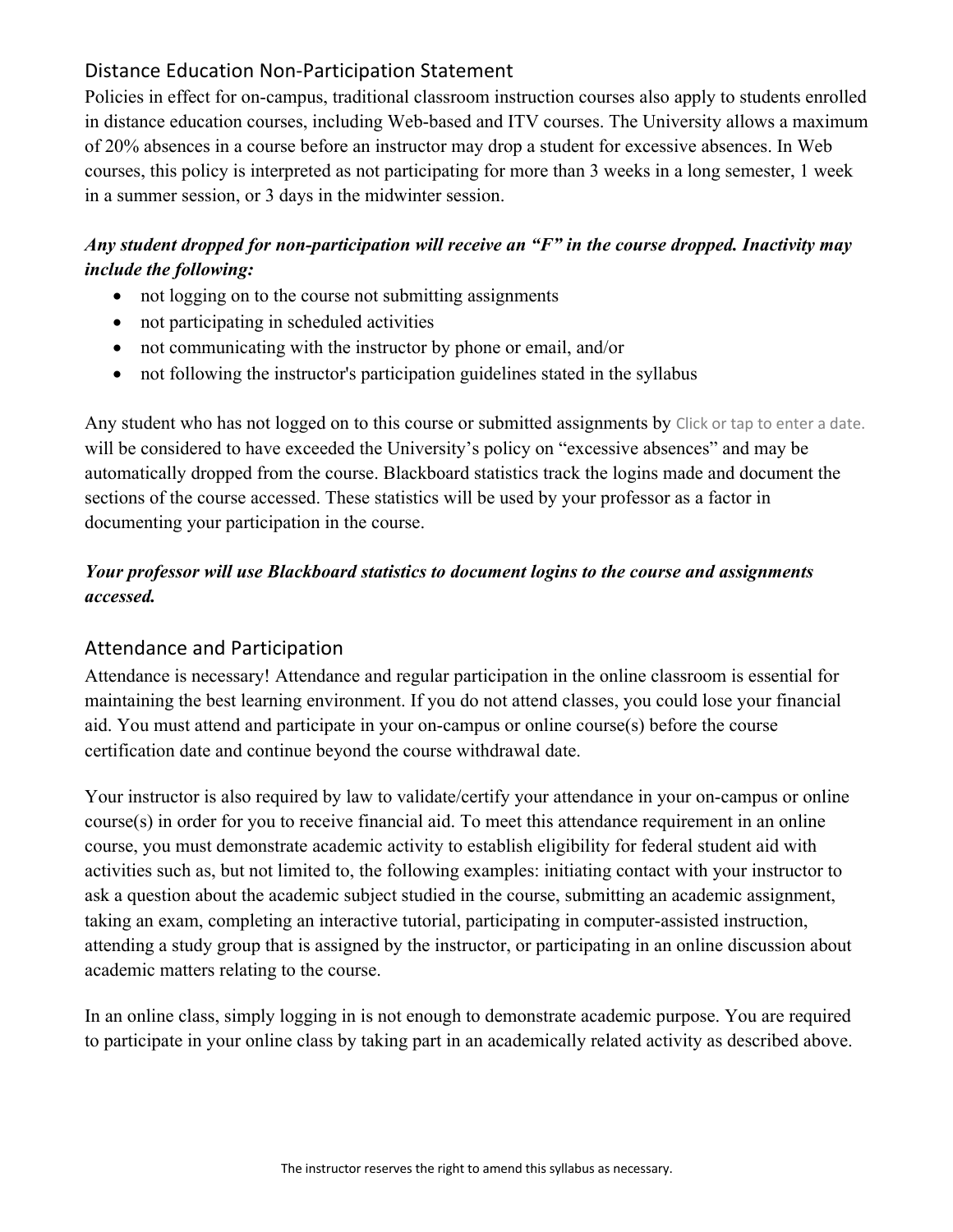## Distance Education Non-Participation Statement

Policies in effect for on-campus, traditional classroom instruction courses also apply to students enrolled in distance education courses, including Web-based and ITV courses. The University allows a maximum of 20% absences in a course before an instructor may drop a student for excessive absences. In Web courses, this policy is interpreted as not participating for more than 3 weeks in a long semester, 1 week in a summer session, or 3 days in the midwinter session.

## *Any student dropped for non-participation will receive an "F" in the course dropped. Inactivity may include the following:*

- not logging on to the course not submitting assignments
- not participating in scheduled activities
- not communicating with the instructor by phone or email, and/or
- not following the instructor's participation guidelines stated in the syllabus

Any student who has not logged on to this course or submitted assignments by Click or tap to enter a date. will be considered to have exceeded the University's policy on "excessive absences" and may be automatically dropped from the course. Blackboard statistics track the logins made and document the sections of the course accessed. These statistics will be used by your professor as a factor in documenting your participation in the course.

## *Your professor will use Blackboard statistics to document logins to the course and assignments accessed.*

#### Attendance and Participation

Attendance is necessary! Attendance and regular participation in the online classroom is essential for maintaining the best learning environment. If you do not attend classes, you could lose your financial aid. You must attend and participate in your on-campus or online course(s) before the course certification date and continue beyond the course withdrawal date.

Your instructor is also required by law to validate/certify your attendance in your on-campus or online course(s) in order for you to receive financial aid. To meet this attendance requirement in an online course, you must demonstrate academic activity to establish eligibility for federal student aid with activities such as, but not limited to, the following examples: initiating contact with your instructor to ask a question about the academic subject studied in the course, submitting an academic assignment, taking an exam, completing an interactive tutorial, participating in computer-assisted instruction, attending a study group that is assigned by the instructor, or participating in an online discussion about academic matters relating to the course.

In an online class, simply logging in is not enough to demonstrate academic purpose. You are required to participate in your online class by taking part in an academically related activity as described above.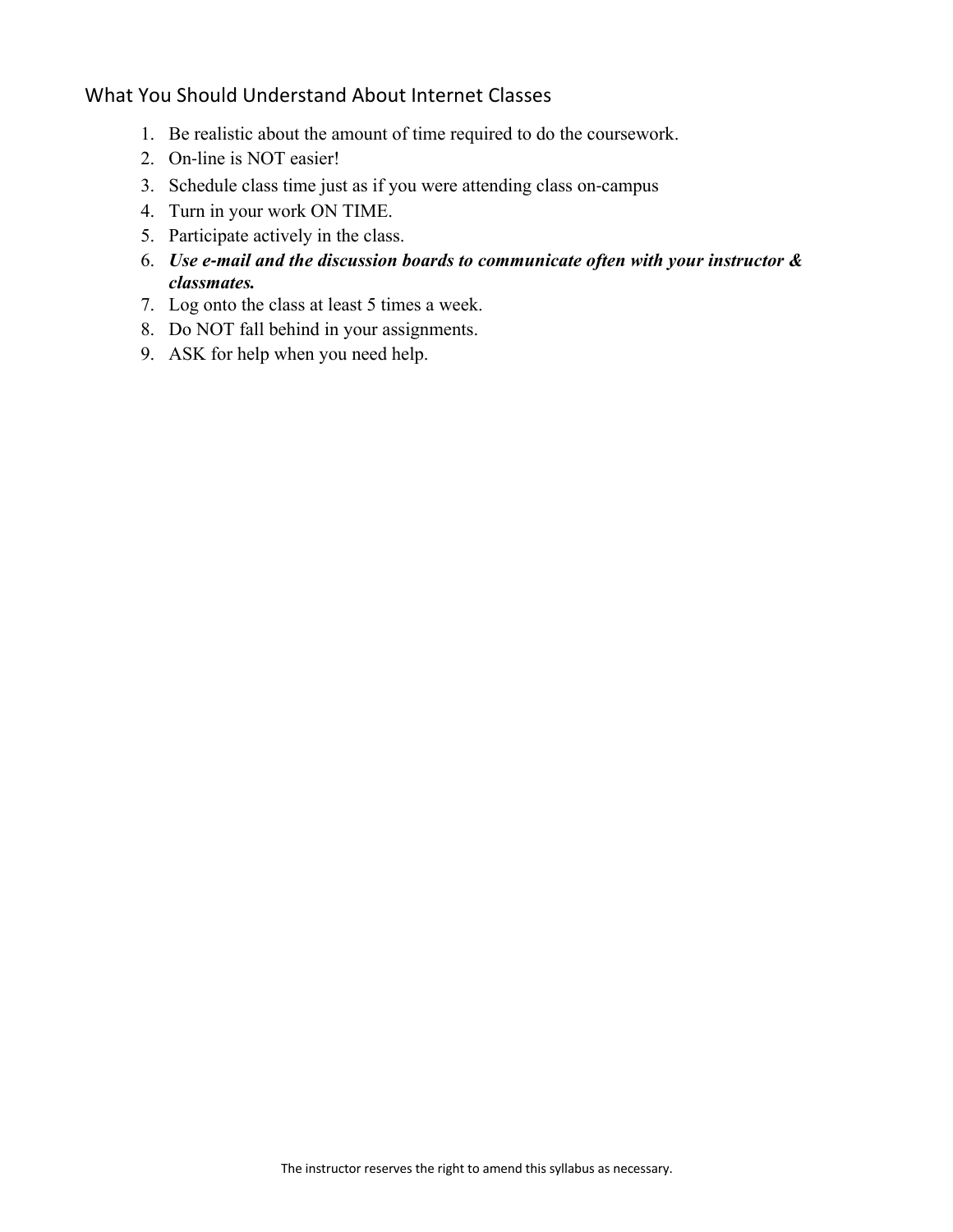## What You Should Understand About Internet Classes

- 1. Be realistic about the amount of time required to do the coursework.
- 2. On-line is NOT easier!
- 3. Schedule class time just as if you were attending class on-campus
- 4. Turn in your work ON TIME.
- 5. Participate actively in the class.
- 6. *Use e-mail and the discussion boards to communicate often with your instructor & classmates.*
- 7. Log onto the class at least 5 times a week.
- 8. Do NOT fall behind in your assignments.
- 9. ASK for help when you need help.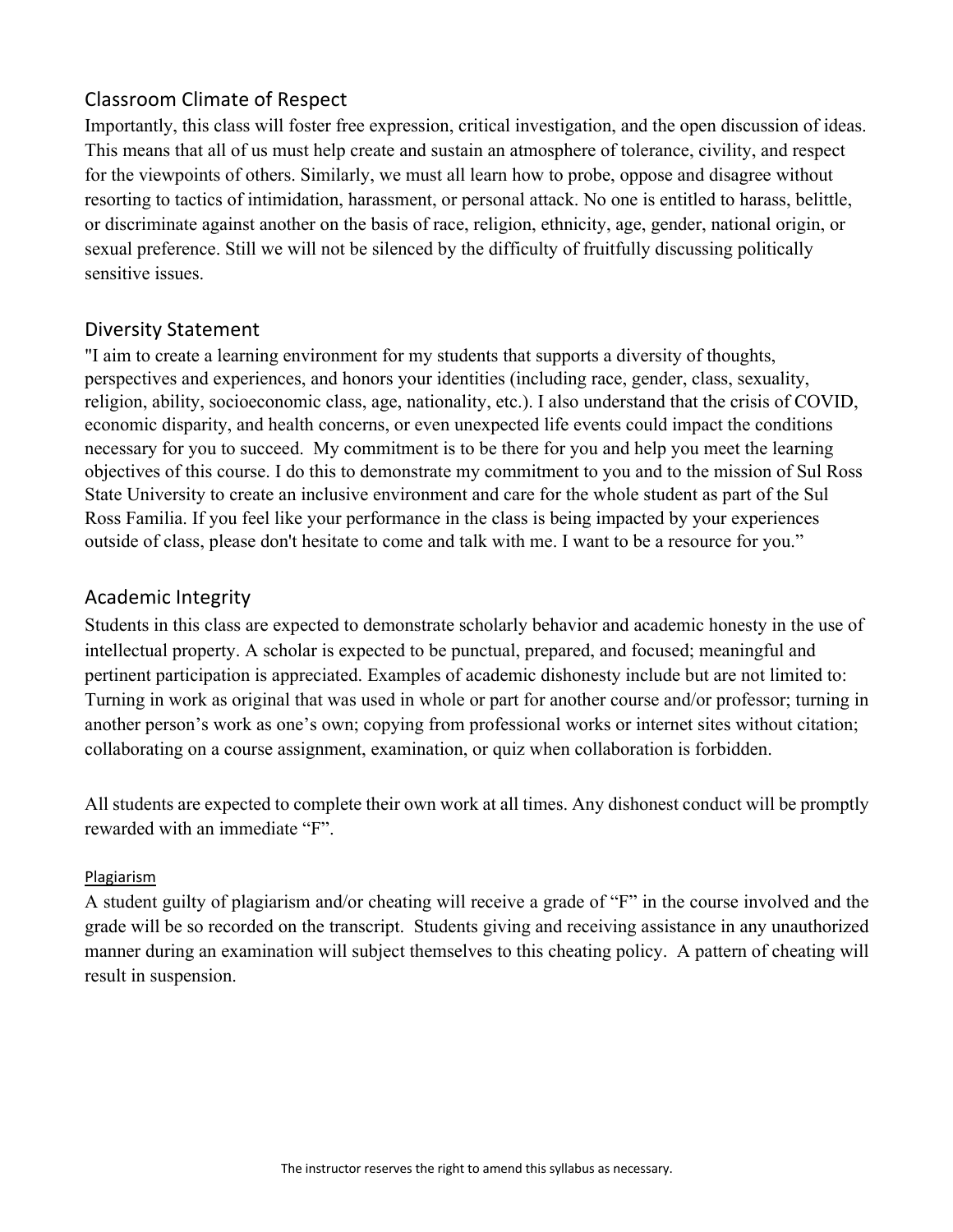## Classroom Climate of Respect

Importantly, this class will foster free expression, critical investigation, and the open discussion of ideas. This means that all of us must help create and sustain an atmosphere of tolerance, civility, and respect for the viewpoints of others. Similarly, we must all learn how to probe, oppose and disagree without resorting to tactics of intimidation, harassment, or personal attack. No one is entitled to harass, belittle, or discriminate against another on the basis of race, religion, ethnicity, age, gender, national origin, or sexual preference. Still we will not be silenced by the difficulty of fruitfully discussing politically sensitive issues.

#### Diversity Statement

"I aim to create a learning environment for my students that supports a diversity of thoughts, perspectives and experiences, and honors your identities (including race, gender, class, sexuality, religion, ability, socioeconomic class, age, nationality, etc.). I also understand that the crisis of COVID, economic disparity, and health concerns, or even unexpected life events could impact the conditions necessary for you to succeed. My commitment is to be there for you and help you meet the learning objectives of this course. I do this to demonstrate my commitment to you and to the mission of Sul Ross State University to create an inclusive environment and care for the whole student as part of the Sul Ross Familia. If you feel like your performance in the class is being impacted by your experiences outside of class, please don't hesitate to come and talk with me. I want to be a resource for you."

## Academic Integrity

Students in this class are expected to demonstrate scholarly behavior and academic honesty in the use of intellectual property. A scholar is expected to be punctual, prepared, and focused; meaningful and pertinent participation is appreciated. Examples of academic dishonesty include but are not limited to: Turning in work as original that was used in whole or part for another course and/or professor; turning in another person's work as one's own; copying from professional works or internet sites without citation; collaborating on a course assignment, examination, or quiz when collaboration is forbidden.

All students are expected to complete their own work at all times. Any dishonest conduct will be promptly rewarded with an immediate "F".

#### Plagiarism

A student guilty of plagiarism and/or cheating will receive a grade of "F" in the course involved and the grade will be so recorded on the transcript. Students giving and receiving assistance in any unauthorized manner during an examination will subject themselves to this cheating policy. A pattern of cheating will result in suspension.